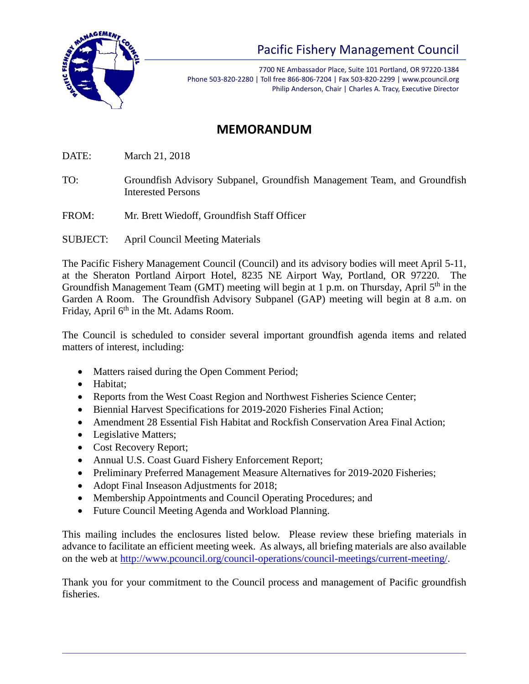

## Pacific Fishery Management Council

7700 NE Ambassador Place, Suite 101 Portland, OR 97220-1384 Phone 503-820-2280 | Toll free 866-806-7204 | Fax 503-820-2299 | www.pcouncil.org Philip Anderson, Chair | Charles A. Tracy, Executive Director

## **MEMORANDUM**

DATE: March 21, 2018

- TO: Groundfish Advisory Subpanel, Groundfish Management Team, and Groundfish Interested Persons
- FROM: Mr. Brett Wiedoff, Groundfish Staff Officer
- SUBJECT: April Council Meeting Materials

The Pacific Fishery Management Council (Council) and its advisory bodies will meet April 5-11, at the Sheraton Portland Airport Hotel, 8235 NE Airport Way, Portland, OR 97220. The Groundfish Management Team (GMT) meeting will begin at 1 p.m. on Thursday, April 5<sup>th</sup> in the Garden A Room. The Groundfish Advisory Subpanel (GAP) meeting will begin at 8 a.m. on Friday, April 6<sup>th</sup> in the Mt. Adams Room.

The Council is scheduled to consider several important groundfish agenda items and related matters of interest, including:

- Matters raised during the Open Comment Period;
- Habitat;
- Reports from the West Coast Region and Northwest Fisheries Science Center;
- Biennial Harvest Specifications for 2019-2020 Fisheries Final Action;
- Amendment 28 Essential Fish Habitat and Rockfish Conservation Area Final Action:
- Legislative Matters;
- Cost Recovery Report;
- Annual U.S. Coast Guard Fishery Enforcement Report;
- Preliminary Preferred Management Measure Alternatives for 2019-2020 Fisheries;
- Adopt Final Inseason Adjustments for 2018;
- Membership Appointments and Council Operating Procedures; and
- Future Council Meeting Agenda and Workload Planning.

This mailing includes the enclosures listed below. Please review these briefing materials in advance to facilitate an efficient meeting week. As always, all briefing materials are also available on the web at [http://www.pcouncil.org/council-operations/council-meetings/current-meeting/.](http://www.pcouncil.org/council-operations/council-meetings/current-meeting/)

Thank you for your commitment to the Council process and management of Pacific groundfish fisheries.